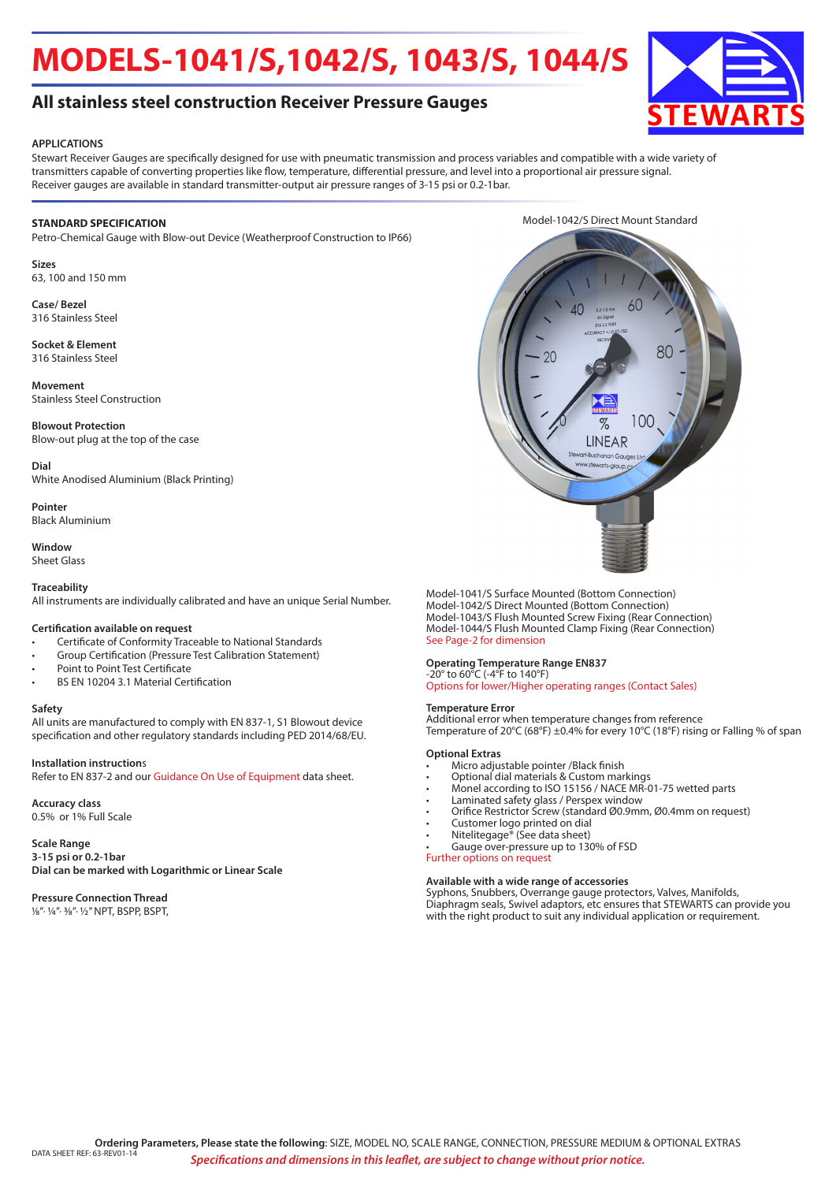# **MODELS-1041/S,1042/S, 1043/S, 1044/S**



## **All stainless steel construction Receiver Pressure Gauges**

#### **APPLICATIONS**

Stewart Receiver Gauges are specifically designed for use with pneumatic transmission and process variables and compatible with a wide variety of transmitters capable of converting properties like flow, temperature, differential pressure, and level into a proportional air pressure signal. Receiver gauges are available in standard transmitter-output air pressure ranges of 3-15 psi or 0.2-1bar.

#### **STANDARD SPECIFICATION**

Petro-Chemical Gauge with Blow-out Device (Weatherproof Construction to IP66)

**Sizes** 63, 100 and 150 mm

**Case/ Bezel** 316 Stainless Steel

**Socket & Element** 316 Stainless Steel

**Movement** Stainless Steel Construction

**Blowout Protection** Blow-out plug at the top of the case

**Dial** White Anodised Aluminium (Black Printing)

**Pointer** Black Aluminium

**Window** Sheet Glass

## **Traceability**

All instruments are individually calibrated and have an unique Serial Number.

#### **Certification available on request**

- Certificate of Conformity Traceable to National Standards
- Group Certification (Pressure Test Calibration Statement)
- Point to Point Test Certificate
- BS EN 10204 3.1 Material Certification

#### **Safety**

All units are manufactured to comply with EN 837-1, S1 Blowout device specification and other regulatory standards including PED 2014/68/EU.

#### **Installation instruction**s

Refer to EN 837-2 and our Guidance On Use of Equipment data sheet.

### **Accuracy class**

0.5% or 1% Full Scale

#### **Scale Range 3-15 psi or 0.2-1bar Dial can be marked with Logarithmic or Linear Scale**

## **Pressure Connection Thread**

1/8", ¼", 3/8", 1/2" NPT, BSPP, BSPT,



Model-1041/S Surface Mounted (Bottom Connection) Model-1042/S Direct Mounted (Bottom Connection) Model-1043/S Flush Mounted Screw Fixing (Rear Connection) Model-1044/S Flush Mounted Clamp Fixing (Rear Connection) See Page-2 for dimension

#### **Operating Temperature Range EN837**

-20° to 60°C (-4°F to 140°F) Options for lower/Higher operating ranges (Contact Sales)

#### **Temperature Error**

Additional error when temperature changes from reference Temperature of 20°C (68°F) ±0.4% for every 10°C (18°F) rising or Falling % of span

#### **Optional Extras**

- Micro adjustable pointer /Black finish
- Optional dial materials & Custom markings
- Monel according to ISO 15156 / NACE MR-01-75 wetted parts
- Laminated safety glass / Perspex window
- Orifice Restrictor Screw (standard Ø0.9mm, Ø0.4mm on request)
- Customer logo printed on dial
- Nitelitegage® (See data sheet)
- Gauge over-pressure up to 130% of FSD Further options on request
- 

#### **Available with a wide range of accessories**

Syphons, Snubbers, Overrange gauge protectors, Valves, Manifolds, Diaphragm seals, Swivel adaptors, etc ensures that STEWARTS can provide you with the right product to suit any individual application or requirement.

Model-1042/S Direct Mount Standard